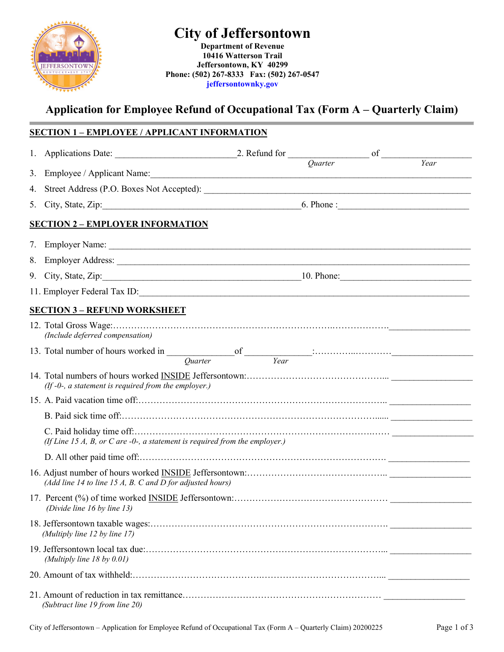# **City of Jeffersontown**



**Department of Revenue 10416 Watterson Trail Jeffersontown, KY 40299 Phone: (502) 267-8333 Fax: (502) 267-0547 jeffersontownky.gov**

# **Application for Employee Refund of Occupational Tax (Form A – Quarterly Claim)**

# **SECTION 1 – EMPLOYEE / APPLICANT INFORMATION**

|                                                                                |                                                                                                                                                                                                                                                                                                                                                                                                                        | <i><u><b>Ouarter</b></u></i> |  | Year |  |  |  |
|--------------------------------------------------------------------------------|------------------------------------------------------------------------------------------------------------------------------------------------------------------------------------------------------------------------------------------------------------------------------------------------------------------------------------------------------------------------------------------------------------------------|------------------------------|--|------|--|--|--|
|                                                                                |                                                                                                                                                                                                                                                                                                                                                                                                                        |                              |  |      |  |  |  |
|                                                                                |                                                                                                                                                                                                                                                                                                                                                                                                                        |                              |  |      |  |  |  |
|                                                                                | <b>SECTION 2 - EMPLOYER INFORMATION</b>                                                                                                                                                                                                                                                                                                                                                                                |                              |  |      |  |  |  |
|                                                                                |                                                                                                                                                                                                                                                                                                                                                                                                                        |                              |  |      |  |  |  |
|                                                                                | 7. Employer Name:                                                                                                                                                                                                                                                                                                                                                                                                      |                              |  |      |  |  |  |
|                                                                                |                                                                                                                                                                                                                                                                                                                                                                                                                        |                              |  |      |  |  |  |
|                                                                                | 9. City, State, Zip: 10. Phone: 10. Phone:                                                                                                                                                                                                                                                                                                                                                                             |                              |  |      |  |  |  |
|                                                                                | 11. Employer Federal Tax ID:                                                                                                                                                                                                                                                                                                                                                                                           |                              |  |      |  |  |  |
|                                                                                | <b>SECTION 3 - REFUND WORKSHEET</b>                                                                                                                                                                                                                                                                                                                                                                                    |                              |  |      |  |  |  |
|                                                                                | (Include deferred compensation)                                                                                                                                                                                                                                                                                                                                                                                        |                              |  |      |  |  |  |
|                                                                                | 13. Total number of hours worked in $\frac{Qu = \text{arctan} - \text{arctan} - \text{arctan} - \text{arctan} - \text{arctan} - \text{arctan} - \text{arctan} - \text{arctan} - \text{arctan} - \text{arctan} - \text{arctan} - \text{arctan} - \text{arctan} - \text{arctan} - \text{arctan} - \text{arctan} - \text{arctan} - \text{arctan} - \text{arctan} - \text{arctan} - \text{arctan} - \text{arctan} - \text$ |                              |  |      |  |  |  |
|                                                                                | $(If -0-, a statement is required from the employer.)$                                                                                                                                                                                                                                                                                                                                                                 |                              |  |      |  |  |  |
|                                                                                |                                                                                                                                                                                                                                                                                                                                                                                                                        |                              |  |      |  |  |  |
|                                                                                |                                                                                                                                                                                                                                                                                                                                                                                                                        |                              |  |      |  |  |  |
| (If Line 15 A, B, or C are $-0$ -, a statement is required from the employer.) |                                                                                                                                                                                                                                                                                                                                                                                                                        |                              |  |      |  |  |  |
|                                                                                |                                                                                                                                                                                                                                                                                                                                                                                                                        |                              |  |      |  |  |  |
|                                                                                | (Add line 14 to line 15 A, B. C and D for adjusted hours)                                                                                                                                                                                                                                                                                                                                                              |                              |  |      |  |  |  |
|                                                                                | (Divide line 16 by line 13)                                                                                                                                                                                                                                                                                                                                                                                            |                              |  |      |  |  |  |
|                                                                                | (Multiply line 12 by line 17)                                                                                                                                                                                                                                                                                                                                                                                          |                              |  |      |  |  |  |
|                                                                                | (Multiply line $18$ by $0.01$ )                                                                                                                                                                                                                                                                                                                                                                                        |                              |  |      |  |  |  |
|                                                                                |                                                                                                                                                                                                                                                                                                                                                                                                                        |                              |  |      |  |  |  |
|                                                                                | (Subtract line 19 from line 20)                                                                                                                                                                                                                                                                                                                                                                                        |                              |  |      |  |  |  |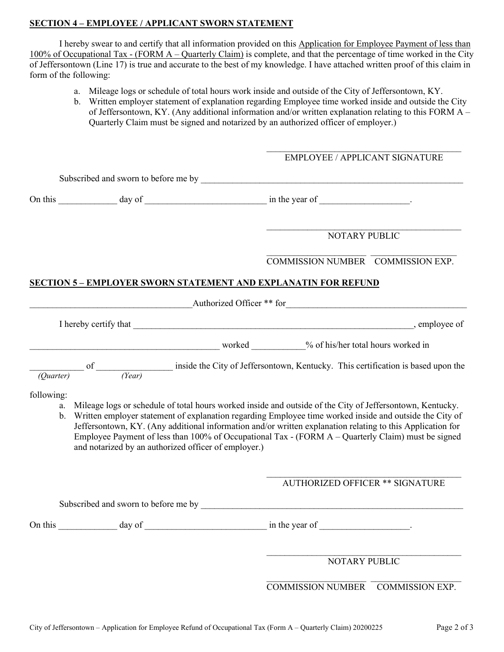#### **SECTION 4 – EMPLOYEE / APPLICANT SWORN STATEMENT**

I hereby swear to and certify that all information provided on this Application for Employee Payment of less than 100% of Occupational Tax - (FORM A – Quarterly Claim) is complete, and that the percentage of time worked in the City of Jeffersontown (Line 17) is true and accurate to the best of my knowledge. I have attached written proof of this claim in form of the following:

- a. Mileage logs or schedule of total hours work inside and outside of the City of Jeffersontown, KY.
- b. Written employer statement of explanation regarding Employee time worked inside and outside the City of Jeffersontown, KY. (Any additional information and/or written explanation relating to this FORM A – Quarterly Claim must be signed and notarized by an authorized officer of employer.)

|                        |                                                                                                                                                                                                                                                                                                                                                                                                                                                                                                  |  | <b>EMPLOYEE / APPLICANT SIGNATURE</b>                                                                        |                                   |  |  |
|------------------------|--------------------------------------------------------------------------------------------------------------------------------------------------------------------------------------------------------------------------------------------------------------------------------------------------------------------------------------------------------------------------------------------------------------------------------------------------------------------------------------------------|--|--------------------------------------------------------------------------------------------------------------|-----------------------------------|--|--|
|                        |                                                                                                                                                                                                                                                                                                                                                                                                                                                                                                  |  |                                                                                                              |                                   |  |  |
|                        |                                                                                                                                                                                                                                                                                                                                                                                                                                                                                                  |  | On this $\_\_\_\_\_\_\_\$ day of $\_\_\_\_\_\_\_\_\_\_\$ in the year of $\_\_\_\_\_\_\_\_\_\_\_\_\_\_\_\_$ . |                                   |  |  |
|                        |                                                                                                                                                                                                                                                                                                                                                                                                                                                                                                  |  | <b>NOTARY PUBLIC</b>                                                                                         |                                   |  |  |
|                        |                                                                                                                                                                                                                                                                                                                                                                                                                                                                                                  |  | COMMISSION NUMBER COMMISSION EXP.                                                                            |                                   |  |  |
|                        | <b>SECTION 5 - EMPLOYER SWORN STATEMENT AND EXPLANATIN FOR REFUND</b>                                                                                                                                                                                                                                                                                                                                                                                                                            |  |                                                                                                              |                                   |  |  |
|                        |                                                                                                                                                                                                                                                                                                                                                                                                                                                                                                  |  | Authorized Officer ** for                                                                                    |                                   |  |  |
|                        |                                                                                                                                                                                                                                                                                                                                                                                                                                                                                                  |  |                                                                                                              |                                   |  |  |
|                        |                                                                                                                                                                                                                                                                                                                                                                                                                                                                                                  |  |                                                                                                              |                                   |  |  |
| (Ouarter)              | of $\frac{1}{(Year)}$ inside the City of Jeffersontown, Kentucky. This certification is based upon the                                                                                                                                                                                                                                                                                                                                                                                           |  |                                                                                                              |                                   |  |  |
| following:<br>a.<br>b. | Mileage logs or schedule of total hours worked inside and outside of the City of Jeffersontown, Kentucky.<br>Written employer statement of explanation regarding Employee time worked inside and outside the City of<br>Jeffersontown, KY. (Any additional information and/or written explanation relating to this Application for<br>Employee Payment of less than 100% of Occupational Tax - (FORM A – Quarterly Claim) must be signed<br>and notarized by an authorized officer of employer.) |  |                                                                                                              |                                   |  |  |
|                        |                                                                                                                                                                                                                                                                                                                                                                                                                                                                                                  |  | <b>AUTHORIZED OFFICER ** SIGNATURE</b>                                                                       |                                   |  |  |
|                        | Subscribed and sworn to before me by Subscribed and Subscribed and Subscribed and Subscribed and Subscribed and Subscribed and Subscribed and Subscribed and Subscribed and Subscribed and Subscribed and Subscribed and Subsc                                                                                                                                                                                                                                                                   |  |                                                                                                              |                                   |  |  |
|                        |                                                                                                                                                                                                                                                                                                                                                                                                                                                                                                  |  | in the year of $\qquad \qquad$                                                                               |                                   |  |  |
|                        |                                                                                                                                                                                                                                                                                                                                                                                                                                                                                                  |  | NOTARY PUBLIC                                                                                                |                                   |  |  |
|                        |                                                                                                                                                                                                                                                                                                                                                                                                                                                                                                  |  |                                                                                                              | COMMISSION NUMBER COMMISSION EXP. |  |  |